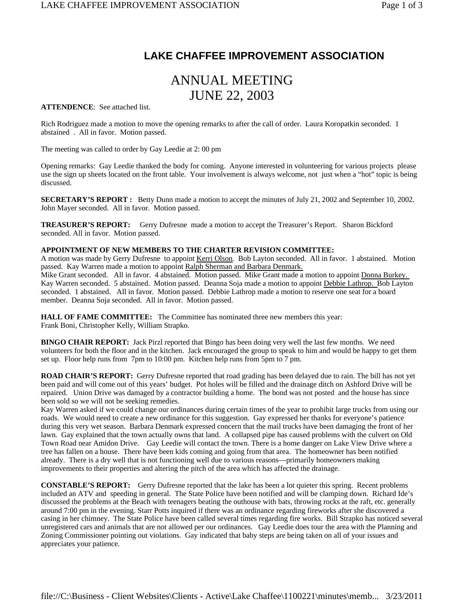## **LAKE CHAFFEE IMPROVEMENT ASSOCIATION**

# ANNUAL MEETING JUNE 22, 2003

**ATTENDENCE**: See attached list.

Rich Rodriguez made a motion to move the opening remarks to after the call of order. Laura Koropatkin seconded. 1 abstained . All in favor. Motion passed.

The meeting was called to order by Gay Leedie at 2: 00 pm

Opening remarks: Gay Leedie thanked the body for coming. Anyone interested in volunteering for various projects please use the sign up sheets located on the front table. Your involvement is always welcome, not just when a "hot" topic is being discussed.

**SECRETARY'S REPORT :** Betty Dunn made a motion to accept the minutes of July 21, 2002 and September 10, 2002. John Mayer seconded. All in favor. Motion passed.

**TREASURER'S REPORT:** Gerry Dufresne made a motion to accept the Treasurer's Report. Sharon Bickford seconded. All in favor. Motion passed.

## **APPOINTMENT OF NEW MEMBERS TO THE CHARTER REVISION COMMITTEE:**

A motion was made by Gerry Dufresne to appoint Kerri Olson. Bob Layton seconded. All in favor. 1 abstained. Motion passed. Kay Warren made a motion to appoint Ralph Sherman and Barbara Denmark.

Mike Grant seconded. All in favor. 4 abstained. Motion passed. Mike Grant made a motion to appoint Donna Burkey. Kay Warren seconded. 5 abstained. Motion passed. Deanna Soja made a motion to appoint Debbie Lathrop. Bob Layton seconded. 1 abstained. All in favor. Motion passed. Debbie Lathrop made a motion to reserve one seat for a board member. Deanna Soja seconded. All in favor. Motion passed.

**HALL OF FAME COMMITTEE:** The Committee has nominated three new members this year: Frank Boni, Christopher Kelly, William Strapko.

**BINGO CHAIR REPORT:** Jack Pirzl reported that Bingo has been doing very well the last few months. We need volunteers for both the floor and in the kitchen. Jack encouraged the group to speak to him and would be happy to get them set up. Floor help runs from 7pm to 10:00 pm. Kitchen help runs from 5pm to 7 pm.

**ROAD CHAIR'S REPORT:** Gerry Dufresne reported that road grading has been delayed due to rain. The bill has not yet been paid and will come out of this years' budget. Pot holes will be filled and the drainage ditch on Ashford Drive will be repaired. Union Drive was damaged by a contractor building a home. The bond was not posted and the house has since been sold so we will not be seeking remedies.

Kay Warren asked if we could change our ordinances during certain times of the year to prohibit large trucks from using our roads. We would need to create a new ordinance for this suggestion. Gay expressed her thanks for everyone's patience during this very wet season. Barbara Denmark expressed concern that the mail trucks have been damaging the front of her lawn. Gay explained that the town actually owns that land. A collapsed pipe has caused problems with the culvert on Old Town Road near Amidon Drive. Gay Leedie will contact the town. There is a home danger on Lake View Drive where a tree has fallen on a house. There have been kids coming and going from that area. The homeowner has been notified already. There is a dry well that is not functioning well due to various reasons—primarily homeowners making improvements to their properties and altering the pitch of the area which has affected the drainage.

**CONSTABLE'S REPORT:** Gerry Dufresne reported that the lake has been a lot quieter this spring. Recent problems included an ATV and speeding in general. The State Police have been notified and will be clamping down. Richard Ide's discussed the problems at the Beach with teenagers beating the outhouse with bats, throwing rocks at the raft, etc. generally around 7:00 pm in the evening. Starr Potts inquired if there was an ordinance regarding fireworks after she discovered a casing in her chimney. The State Police have been called several times regarding fire works. Bill Strapko has noticed several unregistered cars and animals that are not allowed per our ordinances. Gay Leedie does tour the area with the Planning and Zoning Commissioner pointing out violations. Gay indicated that baby steps are being taken on all of your issues and appreciates your patience.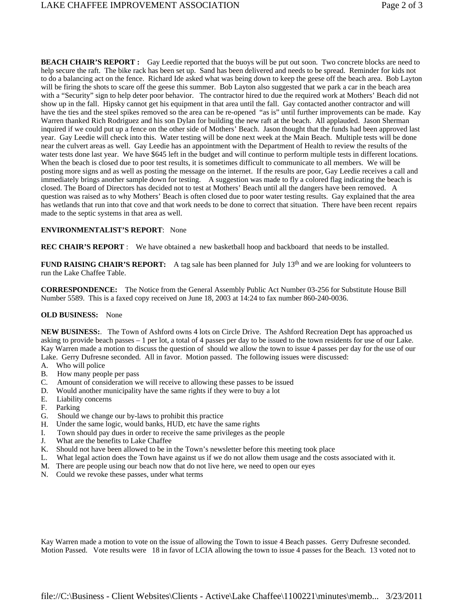**BEACH CHAIR'S REPORT :** Gay Leedie reported that the buoys will be put out soon. Two concrete blocks are need to help secure the raft. The bike rack has been set up. Sand has been delivered and needs to be spread. Reminder for kids not to do a balancing act on the fence. Richard Ide asked what was being down to keep the geese off the beach area. Bob Layton will be firing the shots to scare off the geese this summer. Bob Layton also suggested that we park a car in the beach area with a "Security" sign to help deter poor behavior. The contractor hired to due the required work at Mothers' Beach did not show up in the fall. Hipsky cannot get his equipment in that area until the fall. Gay contacted another contractor and will have the ties and the steel spikes removed so the area can be re-opened "as is" until further improvements can be made. Kay Warren thanked Rich Rodriguez and his son Dylan for building the new raft at the beach. All applauded. Jason Sherman inquired if we could put up a fence on the other side of Mothers' Beach. Jason thought that the funds had been approved last year. Gay Leedie will check into this. Water testing will be done next week at the Main Beach. Multiple tests will be done near the culvert areas as well. Gay Leedie has an appointment with the Department of Health to review the results of the water tests done last year. We have \$645 left in the budget and will continue to perform multiple tests in different locations. When the beach is closed due to poor test results, it is sometimes difficult to communicate to all members. We will be posting more signs and as well as posting the message on the internet. If the results are poor, Gay Leedie receives a call and immediately brings another sample down for testing. A suggestion was made to fly a colored flag indicating the beach is closed. The Board of Directors has decided not to test at Mothers' Beach until all the dangers have been removed. A question was raised as to why Mothers' Beach is often closed due to poor water testing results. Gay explained that the area has wetlands that run into that cove and that work needs to be done to correct that situation. There have been recent repairs made to the septic systems in that area as well.

### **ENVIRONMENTALIST'S REPORT**: None

**REC CHAIR'S REPORT** : We have obtained a new basketball hoop and backboard that needs to be installed.

**FUND RAISING CHAIR'S REPORT:** A tag sale has been planned for July 13<sup>th</sup> and we are looking for volunteers to run the Lake Chaffee Table.

**CORRESPONDENCE:** The Notice from the General Assembly Public Act Number 03-256 for Substitute House Bill Number 5589. This is a faxed copy received on June 18, 2003 at 14:24 to fax number 860-240-0036.

### **OLD BUSINESS:** None

**NEW BUSINESS:**. The Town of Ashford owns 4 lots on Circle Drive. The Ashford Recreation Dept has approached us asking to provide beach passes – 1 per lot, a total of 4 passes per day to be issued to the town residents for use of our Lake. Kay Warren made a motion to discuss the question of should we allow the town to issue 4 passes per day for the use of our Lake. Gerry Dufresne seconded. All in favor. Motion passed. The following issues were discussed:

- A. Who will police
- B. How many people per pass
- C. Amount of consideration we will receive to allowing these passes to be issued
- D. Would another municipality have the same rights if they were to buy a lot
- E. Liability concerns
- F. Parking
- G. Should we change our by-laws to prohibit this practice
- H. Under the same logic, would banks, HUD, etc have the same rights
- I. Town should pay dues in order to receive the same privileges as the people
- J. What are the benefits to Lake Chaffee
- K. Should not have been allowed to be in the Town's newsletter before this meeting took place
- L. What legal action does the Town have against us if we do not allow them usage and the costs associated with it.
- M. There are people using our beach now that do not live here, we need to open our eyes
- N. Could we revoke these passes, under what terms

Kay Warren made a motion to vote on the issue of allowing the Town to issue 4 Beach passes. Gerry Dufresne seconded. Motion Passed. Vote results were 18 in favor of LCIA allowing the town to issue 4 passes for the Beach. 13 voted not to